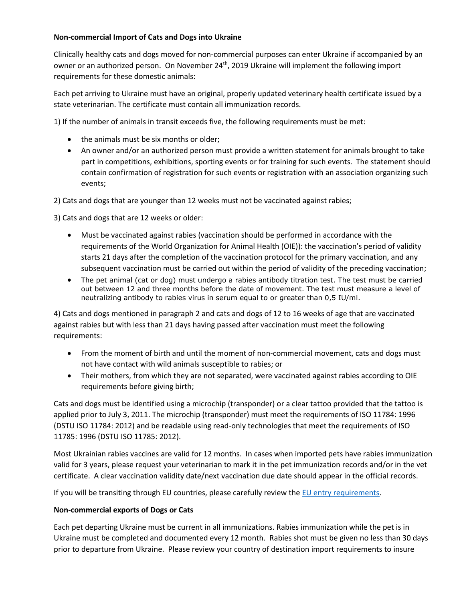## **Non-commercial Import of Cats and Dogs into Ukraine**

Clinically healthy cats and dogs moved for non-commercial purposes can enter Ukraine if accompanied by an owner or an authorized person. On November 24<sup>th</sup>, 2019 Ukraine will implement the following import requirements for these domestic animals:

Each pet arriving to Ukraine must have an original, properly updated veterinary health certificate issued by a state veterinarian. The certificate must contain all immunization records.

1) If the number of animals in transit exceeds five, the following requirements must be met:

- the animals must be six months or older;
- An owner and/or an authorized person must provide a written statement for animals brought to take part in competitions, exhibitions, sporting events or for training for such events. The statement should contain confirmation of registration for such events or registration with an association organizing such events;

2) Cats and dogs that are younger than 12 weeks must not be vaccinated against rabies;

3) Cats and dogs that are 12 weeks or older:

- Must be vaccinated against rabies (vaccination should be performed in accordance with the requirements of the World Organization for Animal Health (OIE)): the vaccination's period of validity starts 21 days after the completion of the vaccination protocol for the primary vaccination, and any subsequent vaccination must be carried out within the period of validity of the preceding vaccination;
- The pet animal (cat or dog) must undergo a rabies antibody titration test. The test must be carried out between 12 and three months before the date of movement. The test must measure a level of neutralizing antibody to rabies virus in serum equal to or greater than 0,5 IU/ml.

4) Cats and dogs mentioned in paragraph 2 and cats and dogs of 12 to 16 weeks of age that are vaccinated against rabies but with less than 21 days having passed after vaccination must meet the following requirements:

- From the moment of birth and until the moment of non-commercial movement, cats and dogs must not have contact with wild animals susceptible to rabies; or
- Their mothers, from which they are not separated, were vaccinated against rabies according to OIE requirements before giving birth;

Cats and dogs must be identified using a microchip (transponder) or a clear tattoo provided that the tattoo is applied prior to July 3, 2011. The microchip (transponder) must meet the requirements of ISO 11784: 1996 (DSTU ISO 11784: 2012) and be readable using read-only technologies that meet the requirements of ISO 11785: 1996 (DSTU ISO 11785: 2012).

Most Ukrainian rabies vaccines are valid for 12 months. In cases when imported pets have rabies immunization valid for 3 years, please request your veterinarian to mark it in the pet immunization records and/or in the vet certificate. A clear vaccination validity date/next vaccination due date should appear in the official records.

If you will be transiting through EU countries, please carefully review the [EU entry requirements.](https://ec.europa.eu/food/animals/pet-movement/eu-legislation/non-commercial-non-eu_en)

## **Non-commercial exports of Dogs or Cats**

Each pet departing Ukraine must be current in all immunizations. Rabies immunization while the pet is in Ukraine must be completed and documented every 12 month. Rabies shot must be given no less than 30 days prior to departure from Ukraine. Please review your country of destination import requirements to insure